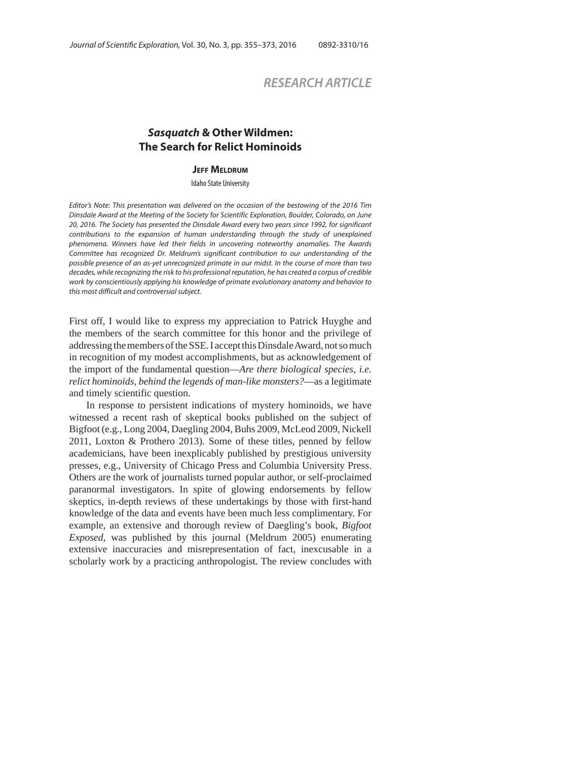# *RESEARCH ARTICLE*

## *Sasquatch* **& Other Wildmen: The Search for Relict Hominoids**

#### **JEFF MELDRUM**

Idaho State University

Editor's Note: This presentation was delivered on the occasion of the bestowing of the 2016 Tim Dinsdale Award at the Meeting of the Society for Scientific Exploration, Boulder, Colorado, on June 20, 2016. The Society has presented the Dinsdale Award every two years since 1992, for significant contributions to the expansion of human understanding through the study of unexplained phenomena. Winners have led their fields in uncovering noteworthy anomalies. The Awards Committee has recognized Dr. Meldrum's significant contribution to our understanding of the possible presence of an as-yet unrecognized primate in our midst. In the course of more than two decades, while recognizing the risk to his professional reputation, he has created a corpus of credible work by conscientiously applying his knowledge of primate evolutionary anatomy and behavior to this most difficult and controversial subject.

First off, I would like to express my appreciation to Patrick Huyghe and the members of the search committee for this honor and the privilege of addressing the members of the SSE. I accept this Dinsdale Award, not so much in recognition of my modest accomplishments, but as acknowledgement of the import of the fundamental question—*Are there biological species, i.e. relict hominoids, behind the legends of man-like monsters?*—as a legitimate and timely scientific question.

In response to persistent indications of mystery hominoids, we have witnessed a recent rash of skeptical books published on the subject of Bigfoot (e.g., Long 2004, Daegling 2004, Buhs 2009, McLeod 2009, Nickell 2011, Loxton & Prothero 2013). Some of these titles, penned by fellow academicians, have been inexplicably published by prestigious university presses, e.g., University of Chicago Press and Columbia University Press. Others are the work of journalists turned popular author, or self-proclaimed paranormal investigators. In spite of glowing endorsements by fellow skeptics, in-depth reviews of these undertakings by those with first-hand knowledge of the data and events have been much less complimentary. For example, an extensive and thorough review of Daegling's book, *Bigfoot Exposed*, was published by this journal (Meldrum 2005) enumerating extensive inaccuracies and misrepresentation of fact, inexcusable in a scholarly work by a practicing anthropologist. The review concludes with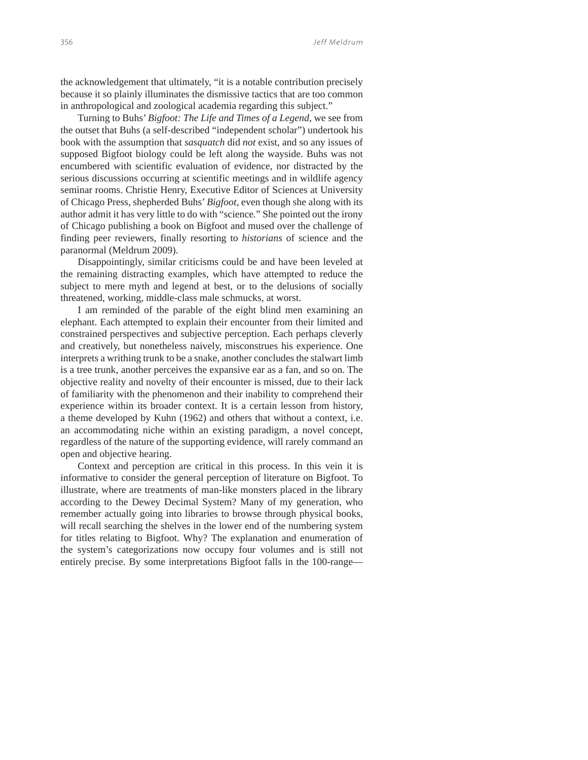the acknowledgement that ultimately, "it is a notable contribution precisely because it so plainly illuminates the dismissive tactics that are too common in anthropological and zoological academia regarding this subject."

Turning to Buhs' *Bigfoot: The Life and Times of a Legend*, we see from the outset that Buhs (a self-described "independent scholar") undertook his book with the assumption that *sasquatch* did *not* exist, and so any issues of supposed Bigfoot biology could be left along the wayside. Buhs was not encumbered with scientific evaluation of evidence, nor distracted by the serious discussions occurring at scientific meetings and in wildlife agency seminar rooms. Christie Henry, Executive Editor of Sciences at University of Chicago Press, shepherded Buhs' *Bigfoot*, even though she along with its author admit it has very little to do with "science*.*" She pointed out the irony of Chicago publishing a book on Bigfoot and mused over the challenge of finding peer reviewers, finally resorting to *historians* of science and the paranormal (Meldrum 2009).

Disappointingly, similar criticisms could be and have been leveled at the remaining distracting examples, which have attempted to reduce the subject to mere myth and legend at best, or to the delusions of socially threatened, working, middle-class male schmucks, at worst.

I am reminded of the parable of the eight blind men examining an elephant. Each attempted to explain their encounter from their limited and constrained perspectives and subjective perception. Each perhaps cleverly and creatively, but nonetheless naively, misconstrues his experience. One interprets a writhing trunk to be a snake, another concludes the stalwart limb is a tree trunk, another perceives the expansive ear as a fan, and so on. The objective reality and novelty of their encounter is missed, due to their lack of familiarity with the phenomenon and their inability to comprehend their experience within its broader context. It is a certain lesson from history, a theme developed by Kuhn (1962) and others that without a context, i.e. an accommodating niche within an existing paradigm, a novel concept, regardless of the nature of the supporting evidence, will rarely command an open and objective hearing.

Context and perception are critical in this process. In this vein it is informative to consider the general perception of literature on Bigfoot. To illustrate, where are treatments of man-like monsters placed in the library according to the Dewey Decimal System? Many of my generation, who remember actually going into libraries to browse through physical books, will recall searching the shelves in the lower end of the numbering system for titles relating to Bigfoot. Why? The explanation and enumeration of the system's categorizations now occupy four volumes and is still not entirely precise. By some interpretations Bigfoot falls in the 100-range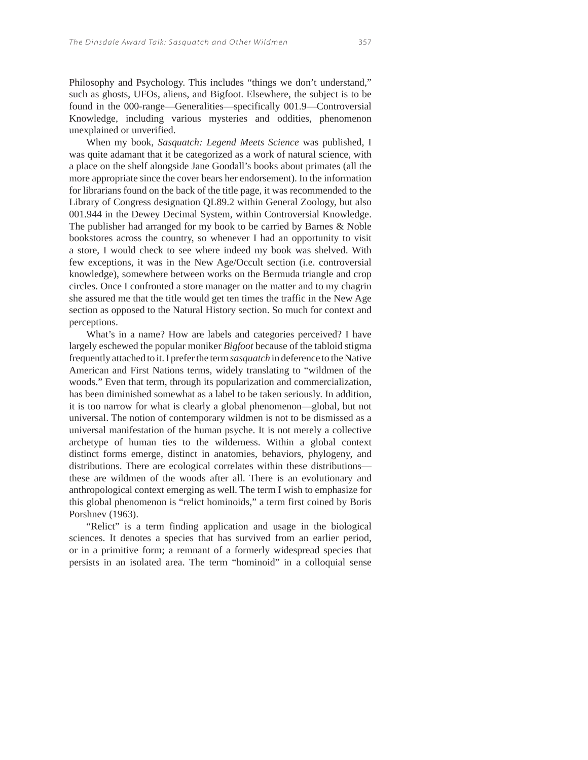unexplained or unverified. When my book, *Sasquatch: Legend Meets Science* was published, I was quite adamant that it be categorized as a work of natural science, with a place on the shelf alongside Jane Goodall's books about primates (all the more appropriate since the cover bears her endorsement). In the information for librarians found on the back of the title page, it was recommended to the Library of Congress designation QL89.2 within General Zoology, but also 001.944 in the Dewey Decimal System, within Controversial Knowledge. The publisher had arranged for my book to be carried by Barnes & Noble bookstores across the country, so whenever I had an opportunity to visit a store, I would check to see where indeed my book was shelved. With few exceptions, it was in the New Age/Occult section (i.e. controversial knowledge), somewhere between works on the Bermuda triangle and crop circles. Once I confronted a store manager on the matter and to my chagrin she assured me that the title would get ten times the traffic in the New Age section as opposed to the Natural History section. So much for context and perceptions.

Knowledge, including various mysteries and oddities, phenomenon

What's in a name? How are labels and categories perceived? I have largely eschewed the popular moniker *Bigfoot* because of the tabloid stigma frequently attached to it. I prefer the term *sasquatch* in deference to the Native American and First Nations terms, widely translating to "wildmen of the woods." Even that term, through its popularization and commercialization, has been diminished somewhat as a label to be taken seriously. In addition, it is too narrow for what is clearly a global phenomenon—global, but not universal. The notion of contemporary wildmen is not to be dismissed as a universal manifestation of the human psyche. It is not merely a collective archetype of human ties to the wilderness. Within a global context distinct forms emerge, distinct in anatomies, behaviors, phylogeny, and distributions. There are ecological correlates within these distributions these are wildmen of the woods after all. There is an evolutionary and anthropological context emerging as well. The term I wish to emphasize for this global phenomenon is "relict hominoids," a term first coined by Boris Porshnev (1963).

"Relict" is a term finding application and usage in the biological sciences. It denotes a species that has survived from an earlier period, or in a primitive form; a remnant of a formerly widespread species that persists in an isolated area. The term "hominoid" in a colloquial sense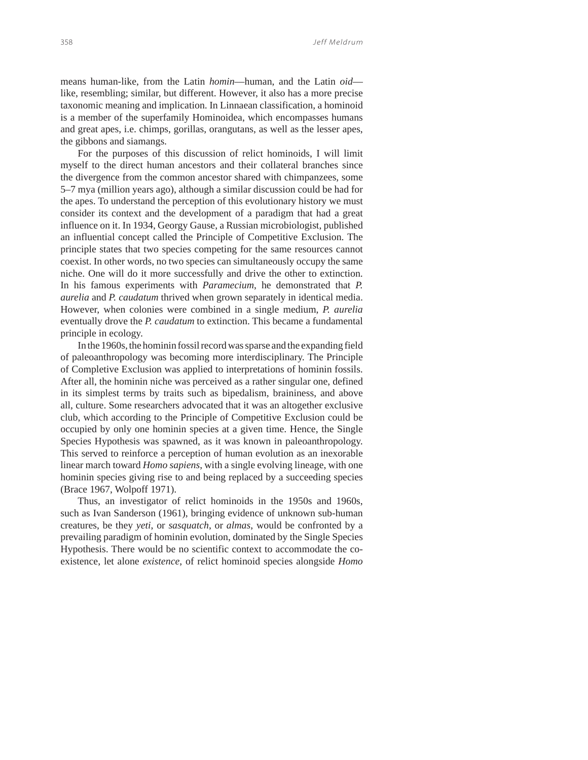means human-like, from the Latin *homin*—human, and the Latin *oid* like, resembling; similar, but different. However, it also has a more precise taxonomic meaning and implication. In Linnaean classification, a hominoid is a member of the superfamily Hominoidea, which encompasses humans and great apes, i.e. chimps, gorillas, orangutans, as well as the lesser apes, the gibbons and siamangs.

For the purposes of this discussion of relict hominoids, I will limit myself to the direct human ancestors and their collateral branches since the divergence from the common ancestor shared with chimpanzees, some 5–7 mya (million years ago), although a similar discussion could be had for the apes. To understand the perception of this evolutionary history we must consider its context and the development of a paradigm that had a great influence on it. In 1934, Georgy Gause, a Russian microbiologist, published an influential concept called the Principle of Competitive Exclusion. The principle states that two species competing for the same resources cannot coexist. In other words, no two species can simultaneously occupy the same niche. One will do it more successfully and drive the other to extinction. In his famous experiments with *Paramecium*, he demonstrated that *P. aurelia* and *P. caudatum* thrived when grown separately in identical media. However, when colonies were combined in a single medium, *P. aurelia* eventually drove the *P. caudatum* to extinction. This became a fundamental principle in ecology.

In the 1960s, the hominin fossil record was sparse and the expanding field of paleoanthropology was becoming more interdisciplinary. The Principle of Completive Exclusion was applied to interpretations of hominin fossils. After all, the hominin niche was perceived as a rather singular one, defined in its simplest terms by traits such as bipedalism, braininess, and above all, culture. Some researchers advocated that it was an altogether exclusive club, which according to the Principle of Competitive Exclusion could be occupied by only one hominin species at a given time. Hence, the Single Species Hypothesis was spawned, as it was known in paleoanthropology. This served to reinforce a perception of human evolution as an inexorable linear march toward *Homo sapiens*, with a single evolving lineage, with one hominin species giving rise to and being replaced by a succeeding species (Brace 1967, Wolpoff 1971).

Thus, an investigator of relict hominoids in the 1950s and 1960s, such as Ivan Sanderson (1961), bringing evidence of unknown sub-human creatures, be they *yeti*, or *sasquatch*, or *almas*, would be confronted by a prevailing paradigm of hominin evolution, dominated by the Single Species Hypothesis. There would be no scientific context to accommodate the coexistence, let alone *existence*, of relict hominoid species alongside *Homo*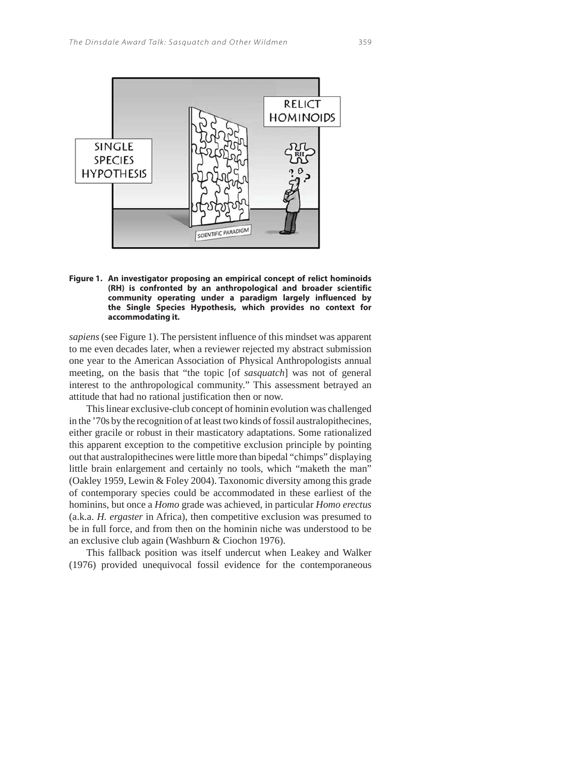

**Figure 1. An investigator proposing an empirical concept of relict hominoids (RH) is confronted by an anthropological and broader scientific community operating under a paradigm largely influenced by the Single Species Hypothesis, which provides no context for accommodating it.** 

*sapiens* (see Figure 1). The persistent influence of this mindset was apparent to me even decades later, when a reviewer rejected my abstract submission one year to the American Association of Physical Anthropologists annual meeting, on the basis that "the topic [of *sasquatch*] was not of general interest to the anthropological community." This assessment betrayed an attitude that had no rational justification then or now.

This linear exclusive-club concept of hominin evolution was challenged in the '70s by the recognition of at least two kinds of fossil australopithecines, either gracile or robust in their masticatory adaptations. Some rationalized this apparent exception to the competitive exclusion principle by pointing out that australopithecines were little more than bipedal "chimps" displaying little brain enlargement and certainly no tools, which "maketh the man" (Oakley 1959, Lewin & Foley 2004). Taxonomic diversity among this grade of contemporary species could be accommodated in these earliest of the hominins, but once a *Homo* grade was achieved, in particular *Homo erectus* (a.k.a. *H. ergaster* in Africa), then competitive exclusion was presumed to be in full force, and from then on the hominin niche was understood to be an exclusive club again (Washburn & Ciochon 1976).

This fallback position was itself undercut when Leakey and Walker (1976) provided unequivocal fossil evidence for the contemporaneous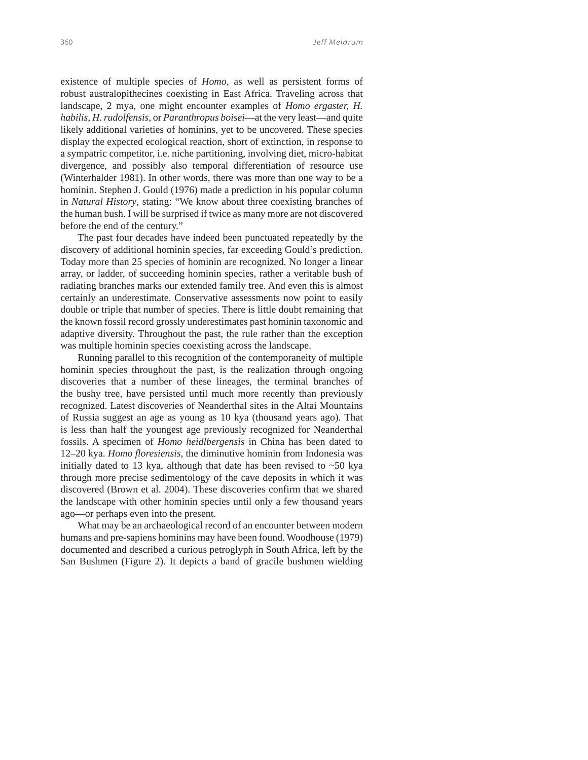existence of multiple species of *Homo,* as well as persistent forms of robust australopithecines coexisting in East Africa. Traveling across that landscape, 2 mya, one might encounter examples of *Homo ergaster, H. habilis, H. rudolfensis,* or *Paranthropus boisei*—at the very least—and quite likely additional varieties of hominins, yet to be uncovered. These species display the expected ecological reaction, short of extinction, in response to a sympatric competitor, i.e. niche partitioning, involving diet, micro-habitat divergence, and possibly also temporal differentiation of resource use (Winterhalder 1981). In other words, there was more than one way to be a hominin. Stephen J. Gould (1976) made a prediction in his popular column in *Natural History*, stating: "We know about three coexisting branches of the human bush. I will be surprised if twice as many more are not discovered before the end of the century."

The past four decades have indeed been punctuated repeatedly by the discovery of additional hominin species, far exceeding Gould's prediction. Today more than 25 species of hominin are recognized. No longer a linear array, or ladder, of succeeding hominin species, rather a veritable bush of radiating branches marks our extended family tree. And even this is almost certainly an underestimate. Conservative assessments now point to easily double or triple that number of species. There is little doubt remaining that the known fossil record grossly underestimates past hominin taxonomic and adaptive diversity. Throughout the past, the rule rather than the exception was multiple hominin species coexisting across the landscape.

Running parallel to this recognition of the contemporaneity of multiple hominin species throughout the past, is the realization through ongoing discoveries that a number of these lineages, the terminal branches of the bushy tree, have persisted until much more recently than previously recognized. Latest discoveries of Neanderthal sites in the Altai Mountains of Russia suggest an age as young as 10 kya (thousand years ago). That is less than half the youngest age previously recognized for Neanderthal fossils. A specimen of *Homo heidlbergensis* in China has been dated to 12–20 kya. *Homo floresiensis*, the diminutive hominin from Indonesia was initially dated to 13 kya, although that date has been revised to  $\sim$ 50 kya through more precise sedimentology of the cave deposits in which it was discovered (Brown et al. 2004). These discoveries confirm that we shared the landscape with other hominin species until only a few thousand years ago—or perhaps even into the present.

What may be an archaeological record of an encounter between modern humans and pre-sapiens hominins may have been found. Woodhouse (1979) documented and described a curious petroglyph in South Africa, left by the San Bushmen (Figure 2). It depicts a band of gracile bushmen wielding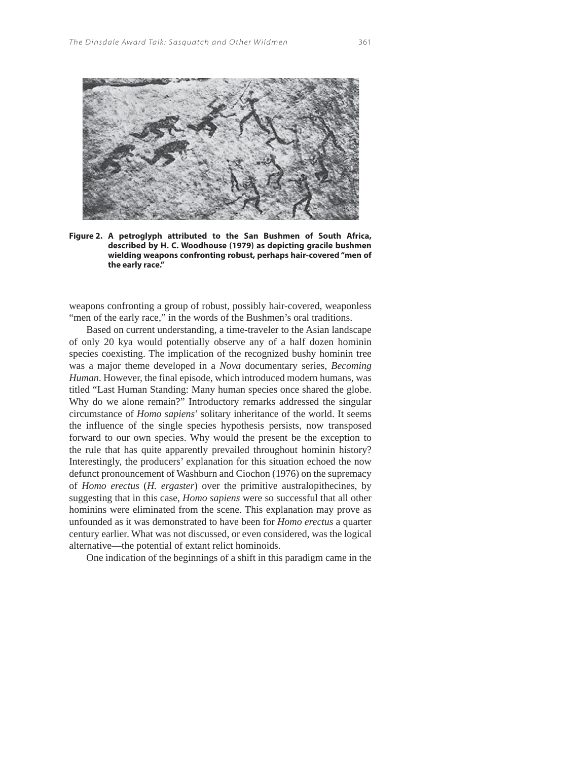

**Figure 2. A petroglyph attributed to the San Bushmen of South Africa, described by H. C. Woodhouse (1979) as depicting gracile bushmen wielding weapons confronting robust, perhaps hair-covered "men of the early race."**

weapons confronting a group of robust, possibly hair-covered, weaponless "men of the early race," in the words of the Bushmen's oral traditions.

Based on current understanding, a time-traveler to the Asian landscape of only 20 kya would potentially observe any of a half dozen hominin species coexisting. The implication of the recognized bushy hominin tree was a major theme developed in a *Nova* documentary series, *Becoming Human*. However, the final episode, which introduced modern humans, was titled "Last Human Standing: Many human species once shared the globe. Why do we alone remain?" Introductory remarks addressed the singular circumstance of *Homo sapiens*' solitary inheritance of the world. It seems the influence of the single species hypothesis persists, now transposed forward to our own species. Why would the present be the exception to the rule that has quite apparently prevailed throughout hominin history? Interestingly, the producers' explanation for this situation echoed the now defunct pronouncement of Washburn and Ciochon (1976) on the supremacy of *Homo erectus* (*H. ergaster*) over the primitive australopithecines, by suggesting that in this case, *Homo sapiens* were so successful that all other hominins were eliminated from the scene. This explanation may prove as unfounded as it was demonstrated to have been for *Homo erectus* a quarter century earlier. What was not discussed, or even considered, was the logical alternative—the potential of extant relict hominoids.

One indication of the beginnings of a shift in this paradigm came in the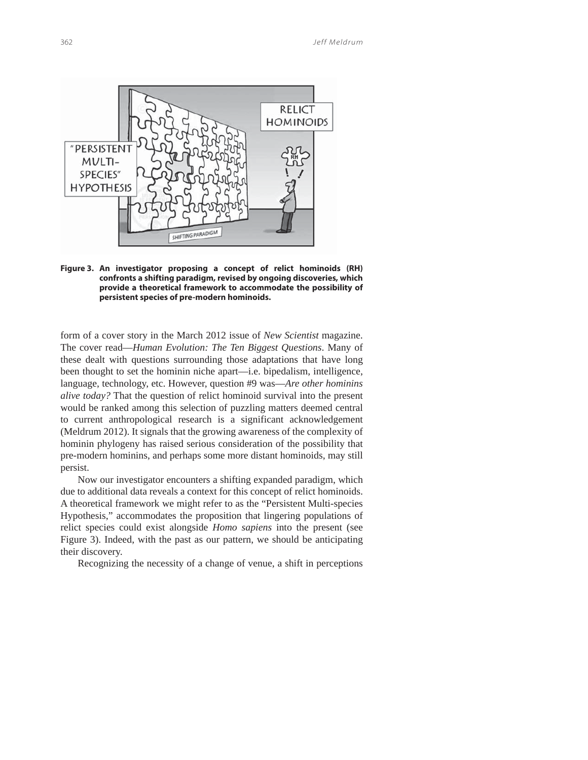

**Figure 3. An investigator proposing a concept of relict hominoids (RH) confronts a shifting paradigm, revised by ongoing discoveries, which provide a theoretical framework to accommodate the possibility of persistent species of pre-modern hominoids.**

form of a cover story in the March 2012 issue of *New Scientist* magazine. The cover read—*Human Evolution: The Ten Biggest Questions*. Many of these dealt with questions surrounding those adaptations that have long been thought to set the hominin niche apart—i.e. bipedalism, intelligence, language, technology, etc. However, question #9 was—*Are other hominins alive today?* That the question of relict hominoid survival into the present would be ranked among this selection of puzzling matters deemed central to current anthropological research is a significant acknowledgement (Meldrum 2012). It signals that the growing awareness of the complexity of hominin phylogeny has raised serious consideration of the possibility that pre-modern hominins, and perhaps some more distant hominoids, may still persist.

Now our investigator encounters a shifting expanded paradigm, which due to additional data reveals a context for this concept of relict hominoids. A theoretical framework we might refer to as the "Persistent Multi-species Hypothesis," accommodates the proposition that lingering populations of relict species could exist alongside *Homo sapiens* into the present (see Figure 3). Indeed, with the past as our pattern, we should be anticipating their discovery.

Recognizing the necessity of a change of venue, a shift in perceptions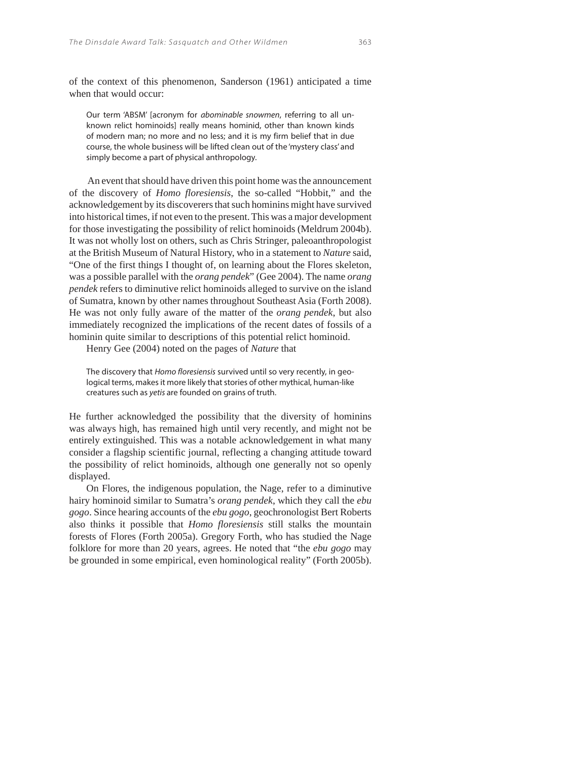of the context of this phenomenon, Sanderson (1961) anticipated a time when that would occur:

Our term 'ABSM' [acronym for abominable snowmen, referring to all unknown relict hominoids] really means hominid, other than known kinds of modern man; no more and no less; and it is my firm belief that in due course, the whole business will be lifted clean out of the 'mystery class' and simply become a part of physical anthropology.

 An event that should have driven this point home was the announcement of the discovery of *Homo floresiensis*, the so-called "Hobbit," and the acknowledgement by its discoverers that such hominins might have survived into historical times, if not even to the present. This was a major development for those investigating the possibility of relict hominoids (Meldrum 2004b). It was not wholly lost on others, such as Chris Stringer, paleoanthropologist at the British Museum of Natural History, who in a statement to *Nature* said, "One of the first things I thought of, on learning about the Flores skeleton, was a possible parallel with the *orang pendek*" (Gee 2004). The name *orang pendek* refers to diminutive relict hominoids alleged to survive on the island of Sumatra, known by other names throughout Southeast Asia (Forth 2008). He was not only fully aware of the matter of the *orang pendek*, but also immediately recognized the implications of the recent dates of fossils of a hominin quite similar to descriptions of this potential relict hominoid.

Henry Gee (2004) noted on the pages of *Nature* that

The discovery that Homo floresiensis survived until so very recently, in geological terms, makes it more likely that stories of other mythical, human-like creatures such as yetis are founded on grains of truth.

He further acknowledged the possibility that the diversity of hominins was always high, has remained high until very recently, and might not be entirely extinguished. This was a notable acknowledgement in what many consider a flagship scientific journal, reflecting a changing attitude toward the possibility of relict hominoids, although one generally not so openly displayed.

On Flores, the indigenous population, the Nage, refer to a diminutive hairy hominoid similar to Sumatra's *orang pendek*, which they call the *ebu gogo*. Since hearing accounts of the *ebu gogo*, geochronologist Bert Roberts also thinks it possible that *Homo floresiensis* still stalks the mountain forests of Flores (Forth 2005a). Gregory Forth, who has studied the Nage folklore for more than 20 years, agrees. He noted that "the *ebu gogo* may be grounded in some empirical, even hominological reality" (Forth 2005b).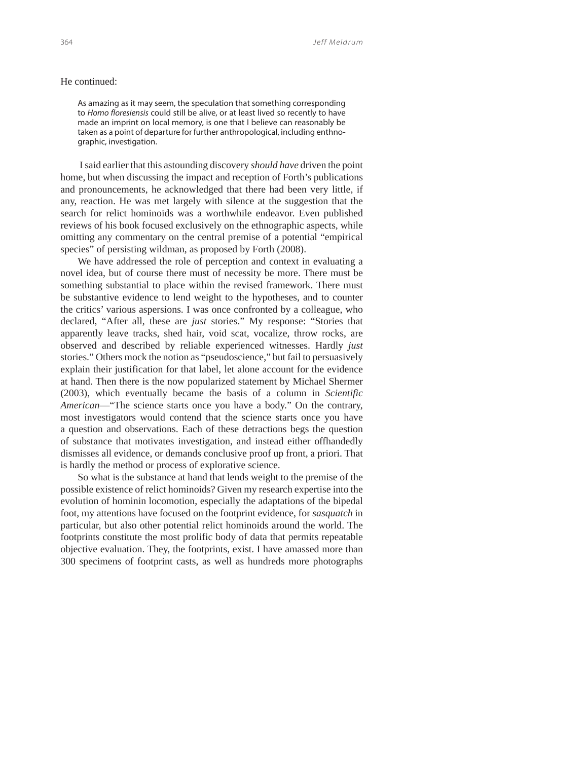### He continued:

As amazing as it may seem, the speculation that something corresponding to Homo floresiensis could still be alive, or at least lived so recently to have made an imprint on local memory, is one that I believe can reasonably be taken as a point of departure for further anthropological, including enthnographic, investigation.

 I said earlier that this astounding discovery *should have* driven the point home, but when discussing the impact and reception of Forth's publications and pronouncements, he acknowledged that there had been very little, if any, reaction. He was met largely with silence at the suggestion that the search for relict hominoids was a worthwhile endeavor. Even published reviews of his book focused exclusively on the ethnographic aspects, while omitting any commentary on the central premise of a potential "empirical species" of persisting wildman, as proposed by Forth (2008).

We have addressed the role of perception and context in evaluating a novel idea, but of course there must of necessity be more. There must be something substantial to place within the revised framework. There must be substantive evidence to lend weight to the hypotheses, and to counter the critics' various aspersions. I was once confronted by a colleague, who declared, "After all, these are *just* stories." My response: "Stories that apparently leave tracks, shed hair, void scat, vocalize, throw rocks, are observed and described by reliable experienced witnesses. Hardly *just* stories." Others mock the notion as "pseudoscience," but fail to persuasively explain their justification for that label, let alone account for the evidence at hand. Then there is the now popularized statement by Michael Shermer (2003), which eventually became the basis of a column in *Scientific American*—"The science starts once you have a body." On the contrary, most investigators would contend that the science starts once you have a question and observations. Each of these detractions begs the question of substance that motivates investigation, and instead either offhandedly dismisses all evidence, or demands conclusive proof up front, a priori. That is hardly the method or process of explorative science.

So what is the substance at hand that lends weight to the premise of the possible existence of relict hominoids? Given my research expertise into the evolution of hominin locomotion, especially the adaptations of the bipedal foot, my attentions have focused on the footprint evidence, for *sasquatch* in particular, but also other potential relict hominoids around the world. The footprints constitute the most prolific body of data that permits repeatable objective evaluation. They, the footprints, exist. I have amassed more than 300 specimens of footprint casts, as well as hundreds more photographs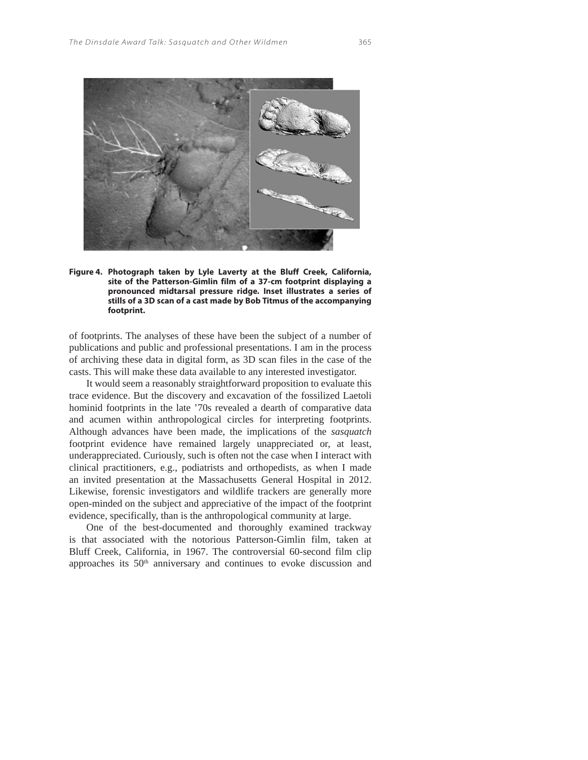

**Figure 4. Photograph taken by Lyle Laverty at the Bluff Creek, California, site of the Patterson-Gimlin film of a 37-cm footprint displaying a pronounced midtarsal pressure ridge. Inset illustrates a series of stills of a 3D scan of a cast made by Bob Titmus of the accompanying footprint.** 

of footprints. The analyses of these have been the subject of a number of publications and public and professional presentations. I am in the process of archiving these data in digital form, as 3D scan files in the case of the casts. This will make these data available to any interested investigator.

It would seem a reasonably straightforward proposition to evaluate this trace evidence. But the discovery and excavation of the fossilized Laetoli hominid footprints in the late '70s revealed a dearth of comparative data and acumen within anthropological circles for interpreting footprints. Although advances have been made, the implications of the *sasquatch* footprint evidence have remained largely unappreciated or, at least, underappreciated. Curiously, such is often not the case when I interact with clinical practitioners, e.g., podiatrists and orthopedists, as when I made an invited presentation at the Massachusetts General Hospital in 2012. Likewise, forensic investigators and wildlife trackers are generally more open-minded on the subject and appreciative of the impact of the footprint evidence, specifically, than is the anthropological community at large.

One of the best-documented and thoroughly examined trackway is that associated with the notorious Patterson-Gimlin film, taken at Bluff Creek, California, in 1967. The controversial 60-second film clip approaches its 50<sup>th</sup> anniversary and continues to evoke discussion and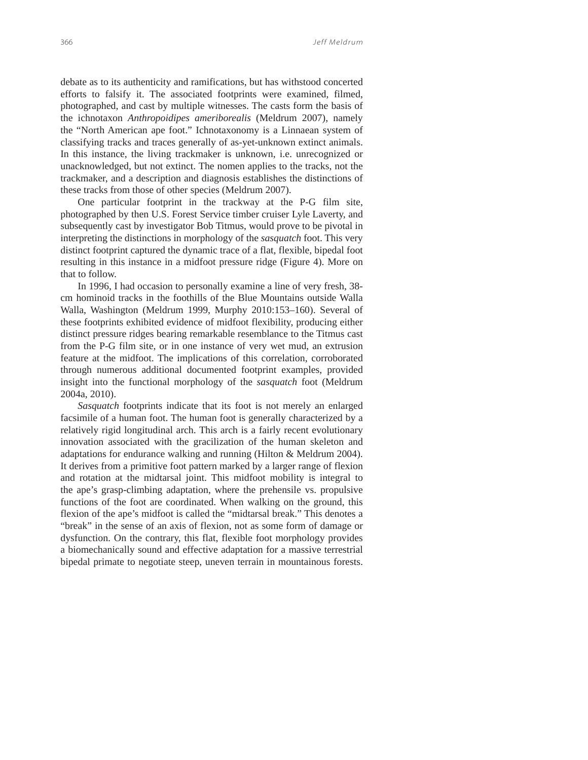debate as to its authenticity and ramifications, but has withstood concerted efforts to falsify it. The associated footprints were examined, filmed, photographed, and cast by multiple witnesses. The casts form the basis of the ichnotaxon *Anthropoidipes ameriborealis* (Meldrum 2007), namely the "North American ape foot." Ichnotaxonomy is a Linnaean system of classifying tracks and traces generally of as-yet-unknown extinct animals. In this instance, the living trackmaker is unknown, i.e. unrecognized or unacknowledged, but not extinct. The nomen applies to the tracks, not the trackmaker, and a description and diagnosis establishes the distinctions of these tracks from those of other species (Meldrum 2007).

One particular footprint in the trackway at the P-G film site, photographed by then U.S. Forest Service timber cruiser Lyle Laverty, and subsequently cast by investigator Bob Titmus, would prove to be pivotal in interpreting the distinctions in morphology of the *sasquatch* foot. This very distinct footprint captured the dynamic trace of a flat, flexible, bipedal foot resulting in this instance in a midfoot pressure ridge (Figure 4). More on that to follow.

In 1996, I had occasion to personally examine a line of very fresh, 38 cm hominoid tracks in the foothills of the Blue Mountains outside Walla Walla, Washington (Meldrum 1999, Murphy 2010:153–160). Several of these footprints exhibited evidence of midfoot flexibility, producing either distinct pressure ridges bearing remarkable resemblance to the Titmus cast from the P-G film site, or in one instance of very wet mud, an extrusion feature at the midfoot. The implications of this correlation, corroborated through numerous additional documented footprint examples, provided insight into the functional morphology of the *sasquatch* foot (Meldrum 2004a, 2010).

*Sasquatch* footprints indicate that its foot is not merely an enlarged facsimile of a human foot. The human foot is generally characterized by a relatively rigid longitudinal arch. This arch is a fairly recent evolutionary innovation associated with the gracilization of the human skeleton and adaptations for endurance walking and running (Hilton & Meldrum 2004). It derives from a primitive foot pattern marked by a larger range of flexion and rotation at the midtarsal joint. This midfoot mobility is integral to the ape's grasp-climbing adaptation, where the prehensile vs. propulsive functions of the foot are coordinated. When walking on the ground, this flexion of the ape's midfoot is called the "midtarsal break." This denotes a "break" in the sense of an axis of flexion, not as some form of damage or dysfunction. On the contrary, this flat, flexible foot morphology provides a biomechanically sound and effective adaptation for a massive terrestrial bipedal primate to negotiate steep, uneven terrain in mountainous forests.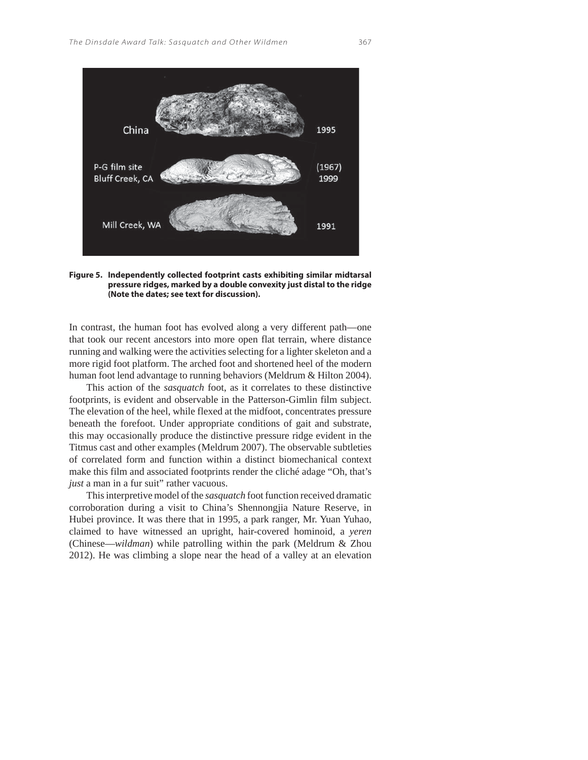

**Figure 5. Independently collected footprint casts exhibiting similar midtarsal pressure ridges, marked by a double convexity just distal to the ridge (Note the dates; see text for discussion).**

In contrast, the human foot has evolved along a very different path—one that took our recent ancestors into more open flat terrain, where distance running and walking were the activities selecting for a lighter skeleton and a more rigid foot platform. The arched foot and shortened heel of the modern human foot lend advantage to running behaviors (Meldrum & Hilton 2004).

This action of the *sasquatch* foot, as it correlates to these distinctive footprints, is evident and observable in the Patterson-Gimlin film subject. The elevation of the heel, while flexed at the midfoot, concentrates pressure beneath the forefoot. Under appropriate conditions of gait and substrate, this may occasionally produce the distinctive pressure ridge evident in the Titmus cast and other examples (Meldrum 2007). The observable subtleties of correlated form and function within a distinct biomechanical context make this film and associated footprints render the cliché adage "Oh, that's *just* a man in a fur suit" rather vacuous.

This interpretive model of the *sasquatch* foot function received dramatic corroboration during a visit to China's Shennongjia Nature Reserve, in Hubei province. It was there that in 1995, a park ranger, Mr. Yuan Yuhao, claimed to have witnessed an upright, hair-covered hominoid, a *yeren* (Chinese—*wildman*) while patrolling within the park (Meldrum & Zhou 2012). He was climbing a slope near the head of a valley at an elevation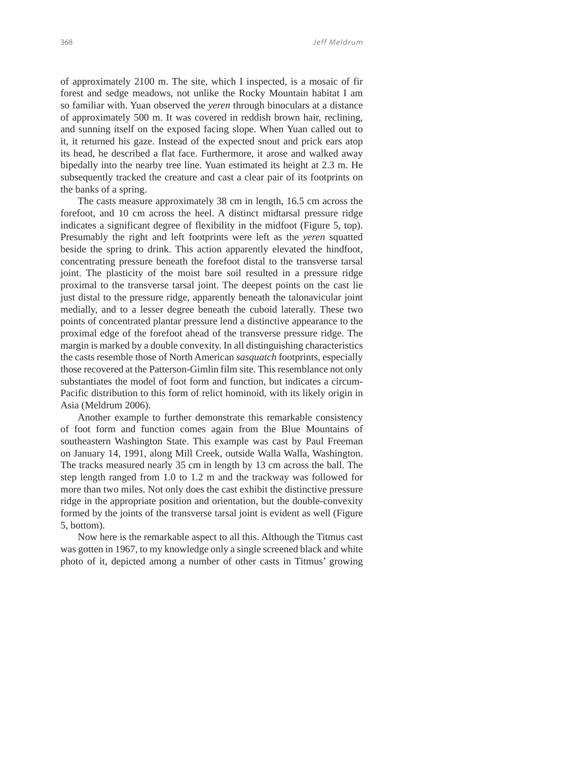of approximately 2100 m. The site, which I inspected, is a mosaic of fir forest and sedge meadows, not unlike the Rocky Mountain habitat I am so familiar with. Yuan observed the *yeren* through binoculars at a distance of approximately 500 m. It was covered in reddish brown hair, reclining, and sunning itself on the exposed facing slope. When Yuan called out to it, it returned his gaze. Instead of the expected snout and prick ears atop its head, he described a flat face. Furthermore, it arose and walked away bipedally into the nearby tree line. Yuan estimated its height at 2.3 m. He subsequently tracked the creature and cast a clear pair of its footprints on the banks of a spring.

The casts measure approximately 38 cm in length, 16.5 cm across the forefoot, and 10 cm across the heel. A distinct midtarsal pressure ridge indicates a significant degree of flexibility in the midfoot (Figure 5, top). Presumably the right and left footprints were left as the *yeren* squatted beside the spring to drink. This action apparently elevated the hindfoot, concentrating pressure beneath the forefoot distal to the transverse tarsal joint. The plasticity of the moist bare soil resulted in a pressure ridge proximal to the transverse tarsal joint. The deepest points on the cast lie just distal to the pressure ridge, apparently beneath the talonavicular joint medially, and to a lesser degree beneath the cuboid laterally. These two points of concentrated plantar pressure lend a distinctive appearance to the proximal edge of the forefoot ahead of the transverse pressure ridge. The margin is marked by a double convexity. In all distinguishing characteristics the casts resemble those of North American *sasquatch* footprints, especially those recovered at the Patterson-Gimlin film site. This resemblance not only substantiates the model of foot form and function, but indicates a circum-Pacific distribution to this form of relict hominoid, with its likely origin in Asia (Meldrum 2006).

Another example to further demonstrate this remarkable consistency of foot form and function comes again from the Blue Mountains of southeastern Washington State. This example was cast by Paul Freeman on January 14, 1991, along Mill Creek, outside Walla Walla, Washington. The tracks measured nearly 35 cm in length by 13 cm across the ball. The step length ranged from 1.0 to 1.2 m and the trackway was followed for more than two miles. Not only does the cast exhibit the distinctive pressure ridge in the appropriate position and orientation, but the double-convexity formed by the joints of the transverse tarsal joint is evident as well (Figure 5, bottom).

Now here is the remarkable aspect to all this. Although the Titmus cast was gotten in 1967, to my knowledge only a single screened black and white photo of it, depicted among a number of other casts in Titmus' growing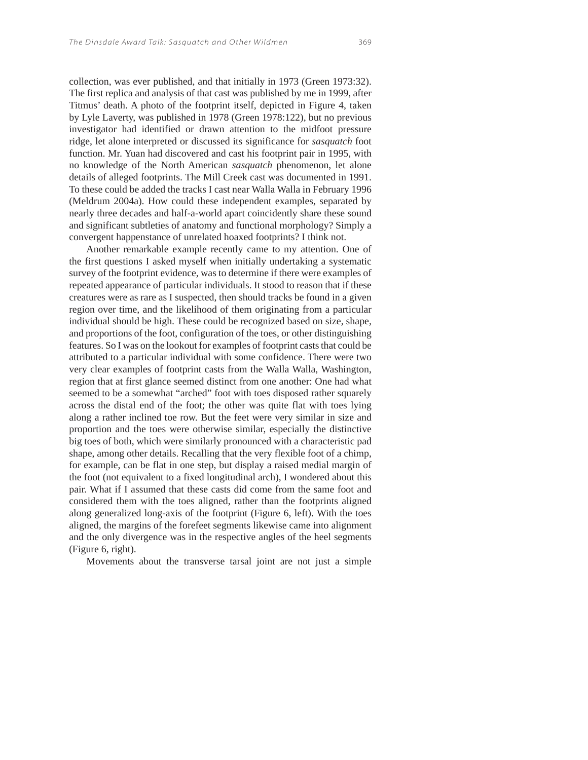collection, was ever published, and that initially in 1973 (Green 1973:32). The first replica and analysis of that cast was published by me in 1999, after Titmus' death. A photo of the footprint itself, depicted in Figure 4, taken by Lyle Laverty, was published in 1978 (Green 1978:122), but no previous investigator had identified or drawn attention to the midfoot pressure ridge, let alone interpreted or discussed its significance for *sasquatch* foot function. Mr. Yuan had discovered and cast his footprint pair in 1995, with no knowledge of the North American *sasquatch* phenomenon, let alone details of alleged footprints. The Mill Creek cast was documented in 1991. To these could be added the tracks I cast near Walla Walla in February 1996 (Meldrum 2004a). How could these independent examples, separated by nearly three decades and half-a-world apart coincidently share these sound and significant subtleties of anatomy and functional morphology? Simply a convergent happenstance of unrelated hoaxed footprints? I think not.

Another remarkable example recently came to my attention. One of the first questions I asked myself when initially undertaking a systematic survey of the footprint evidence, was to determine if there were examples of repeated appearance of particular individuals. It stood to reason that if these creatures were as rare as I suspected, then should tracks be found in a given region over time, and the likelihood of them originating from a particular individual should be high. These could be recognized based on size, shape, and proportions of the foot, configuration of the toes, or other distinguishing features. So I was on the lookout for examples of footprint casts that could be attributed to a particular individual with some confidence. There were two very clear examples of footprint casts from the Walla Walla, Washington, region that at first glance seemed distinct from one another: One had what seemed to be a somewhat "arched" foot with toes disposed rather squarely across the distal end of the foot; the other was quite flat with toes lying along a rather inclined toe row. But the feet were very similar in size and proportion and the toes were otherwise similar, especially the distinctive big toes of both, which were similarly pronounced with a characteristic pad shape, among other details. Recalling that the very flexible foot of a chimp, for example, can be flat in one step, but display a raised medial margin of the foot (not equivalent to a fixed longitudinal arch), I wondered about this pair. What if I assumed that these casts did come from the same foot and considered them with the toes aligned, rather than the footprints aligned along generalized long-axis of the footprint (Figure 6, left). With the toes aligned, the margins of the forefeet segments likewise came into alignment and the only divergence was in the respective angles of the heel segments (Figure 6, right).

Movements about the transverse tarsal joint are not just a simple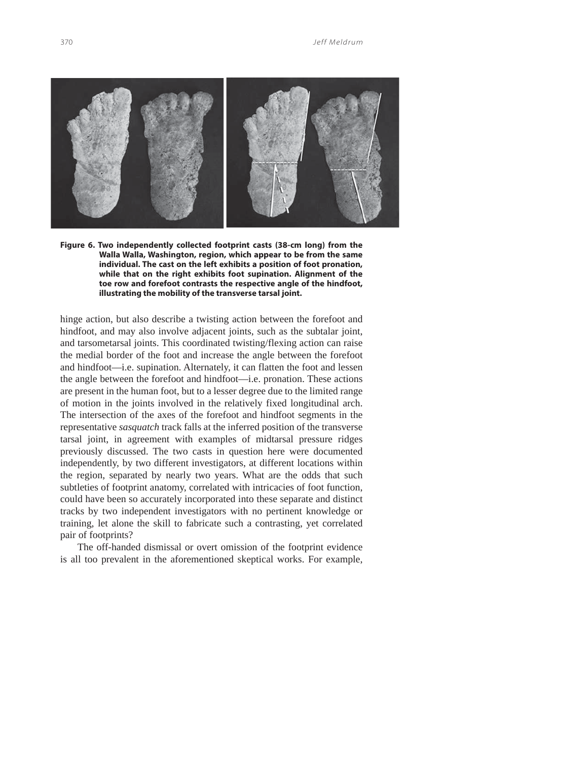

**Figure 6. Two independently collected footprint casts (38-cm long) from the Walla Walla, Washington, region, which appear to be from the same individual. The cast on the left exhibits a position of foot pronation, while that on the right exhibits foot supination. Alignment of the toe row and forefoot contrasts the respective angle of the hindfoot, illustrating the mobility of the transverse tarsal joint.** 

hinge action, but also describe a twisting action between the forefoot and hindfoot, and may also involve adjacent joints, such as the subtalar joint, and tarsometarsal joints. This coordinated twisting/flexing action can raise the medial border of the foot and increase the angle between the forefoot and hindfoot—i.e. supination. Alternately, it can flatten the foot and lessen the angle between the forefoot and hindfoot—i.e. pronation. These actions are present in the human foot, but to a lesser degree due to the limited range of motion in the joints involved in the relatively fixed longitudinal arch. The intersection of the axes of the forefoot and hindfoot segments in the representative *sasquatch* track falls at the inferred position of the transverse tarsal joint, in agreement with examples of midtarsal pressure ridges previously discussed. The two casts in question here were documented independently, by two different investigators, at different locations within the region, separated by nearly two years. What are the odds that such subtleties of footprint anatomy, correlated with intricacies of foot function, could have been so accurately incorporated into these separate and distinct tracks by two independent investigators with no pertinent knowledge or training, let alone the skill to fabricate such a contrasting, yet correlated pair of footprints?

The off-handed dismissal or overt omission of the footprint evidence is all too prevalent in the aforementioned skeptical works. For example,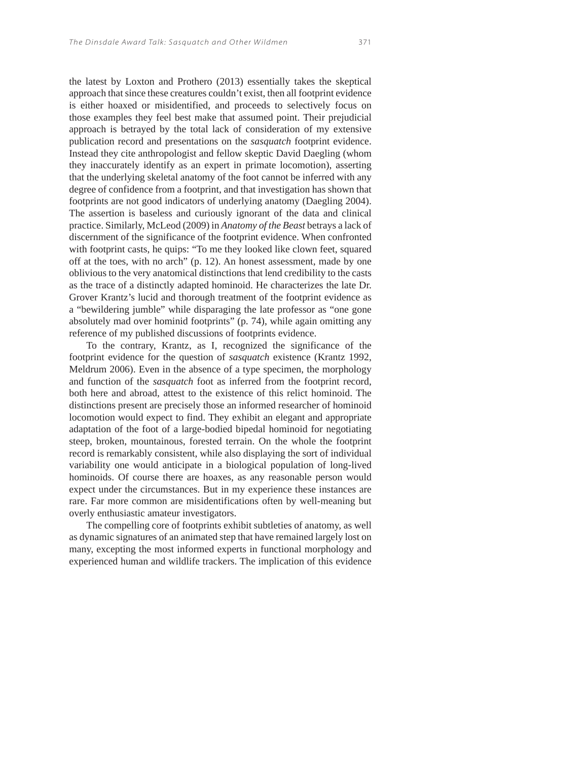the latest by Loxton and Prothero (2013) essentially takes the skeptical approach that since these creatures couldn't exist, then all footprint evidence is either hoaxed or misidentified, and proceeds to selectively focus on those examples they feel best make that assumed point. Their prejudicial approach is betrayed by the total lack of consideration of my extensive publication record and presentations on the *sasquatch* footprint evidence. Instead they cite anthropologist and fellow skeptic David Daegling (whom they inaccurately identify as an expert in primate locomotion), asserting that the underlying skeletal anatomy of the foot cannot be inferred with any degree of confidence from a footprint, and that investigation has shown that footprints are not good indicators of underlying anatomy (Daegling 2004). The assertion is baseless and curiously ignorant of the data and clinical practice. Similarly, McLeod (2009) in *Anatomy of the Beast* betrays a lack of discernment of the significance of the footprint evidence. When confronted with footprint casts, he quips: "To me they looked like clown feet, squared off at the toes, with no arch" (p. 12). An honest assessment, made by one oblivious to the very anatomical distinctions that lend credibility to the casts as the trace of a distinctly adapted hominoid. He characterizes the late Dr. Grover Krantz's lucid and thorough treatment of the footprint evidence as a "bewildering jumble" while disparaging the late professor as "one gone absolutely mad over hominid footprints" (p. 74), while again omitting any reference of my published discussions of footprints evidence.

To the contrary, Krantz, as I, recognized the significance of the footprint evidence for the question of *sasquatch* existence (Krantz 1992, Meldrum 2006). Even in the absence of a type specimen, the morphology and function of the *sasquatch* foot as inferred from the footprint record, both here and abroad, attest to the existence of this relict hominoid. The distinctions present are precisely those an informed researcher of hominoid locomotion would expect to find. They exhibit an elegant and appropriate adaptation of the foot of a large-bodied bipedal hominoid for negotiating steep, broken, mountainous, forested terrain. On the whole the footprint record is remarkably consistent, while also displaying the sort of individual variability one would anticipate in a biological population of long-lived hominoids. Of course there are hoaxes, as any reasonable person would expect under the circumstances. But in my experience these instances are rare. Far more common are misidentifications often by well-meaning but overly enthusiastic amateur investigators.

The compelling core of footprints exhibit subtleties of anatomy, as well as dynamic signatures of an animated step that have remained largely lost on many, excepting the most informed experts in functional morphology and experienced human and wildlife trackers. The implication of this evidence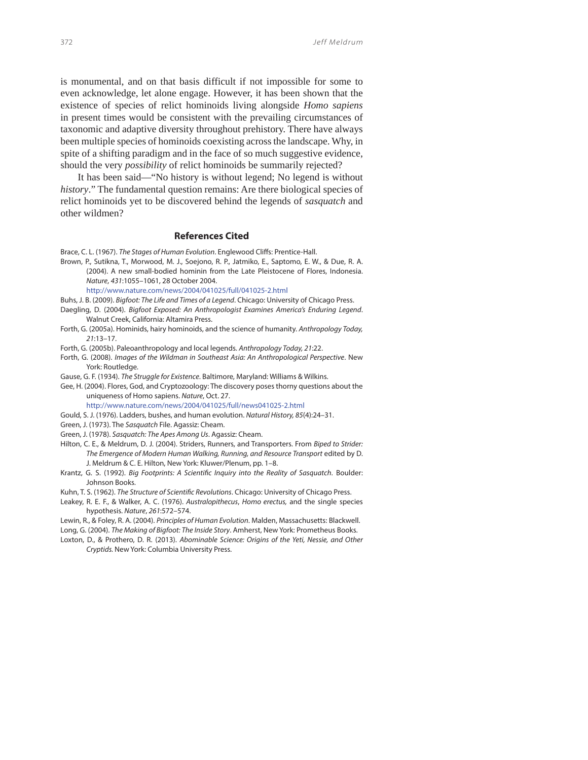is monumental, and on that basis difficult if not impossible for some to even acknowledge, let alone engage. However, it has been shown that the existence of species of relict hominoids living alongside *Homo sapiens* in present times would be consistent with the prevailing circumstances of taxonomic and adaptive diversity throughout prehistory. There have always been multiple species of hominoids coexisting across the landscape. Why, in spite of a shifting paradigm and in the face of so much suggestive evidence, should the very *possibility* of relict hominoids be summarily rejected?

It has been said—"No history is without legend; No legend is without *history*." The fundamental question remains: Are there biological species of relict hominoids yet to be discovered behind the legends of *sasquatch* and other wildmen?

## **References Cited**

- Brace, C. L. (1967). The Stages of Human Evolution. Englewood Cliffs: Prentice-Hall.
- Brown, P., Sutikna, T., Morwood, M. J., Soejono, R. P., Jatmiko, E., Saptomo, E. W., & Due, R. A. (2004). A new small-bodied hominin from the Late Pleistocene of Flores, Indonesia. Nature, 431:1055–1061, 28 October 2004.

http://www.nature.com/news/2004/041025/full/041025-2.html

- Buhs, J. B. (2009). Bigfoot: The Life and Times of a Legend. Chicago: University of Chicago Press.
- Daegling, D. (2004). Bigfoot Exposed: An Anthropologist Examines America's Enduring Legend. Walnut Creek, California: Altamira Press.
- Forth, G. (2005a). Hominids, hairy hominoids, and the science of humanity. Anthropology Today, 21:13–17.
- Forth, G. (2005b). Paleoanthropology and local legends. Anthropology Today, 21:22.
- Forth, G. (2008). Images of the Wildman in Southeast Asia: An Anthropological Perspective. New York: Routledge.
- Gause, G. F. (1934). The Struggle for Existence. Baltimore, Maryland: Williams & Wilkins.
- Gee, H. (2004). Flores, God, and Cryptozoology: The discovery poses thorny questions about the uniqueness of Homo sapiens. Nature, Oct. 27.

http://www.nature.com/news/2004/041025/full/news041025-2.html

- Gould, S. J. (1976). Ladders, bushes, and human evolution. Natural History, 85(4):24–31.
- Green, J. (1973). The Sasquatch File. Agassiz: Cheam.
- Green, J. (1978). Sasquatch: The Apes Among Us. Agassiz: Cheam.
- Hilton, C. E., & Meldrum, D. J. (2004). Striders, Runners, and Transporters. From Biped to Strider: The Emergence of Modern Human Walking, Running, and Resource Transport edited by D. J. Meldrum & C. E. Hilton, New York: Kluwer/Plenum, pp. 1–8.
- Krantz, G. S. (1992). Big Footprints: A Scientific Inquiry into the Reality of Sasquatch. Boulder: Johnson Books.
- Kuhn, T. S. (1962). The Structure of Scientific Revolutions. Chicago: University of Chicago Press.
- Leakey, R. E. F., & Walker, A. C. (1976). Australopithecus, Homo erectus, and the single species hypothesis. Nature, 261:572–574.
- Lewin, R., & Foley, R. A. (2004). Principles of Human Evolution. Malden, Massachusetts: Blackwell.
- Long, G. (2004). The Making of Bigfoot: The Inside Story. Amherst, New York: Prometheus Books.
- Loxton, D., & Prothero, D. R. (2013). Abominable Science: Origins of the Yeti, Nessie, and Other Cryptids. New York: Columbia University Press.